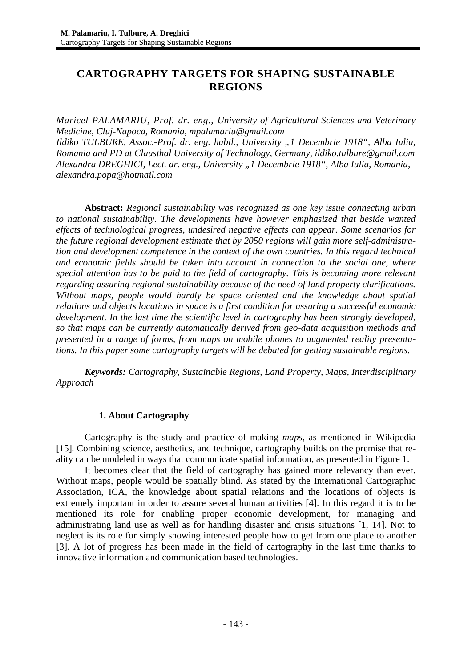# **CARTOGRAPHY TARGETS FOR SHAPING SUSTAINABLE REGIONS**

*Maricel PALAMARIU, Prof. dr. eng., University of Agricultural Sciences and Veterinary Medicine, Cluj-Napoca, Romania, mpalamariu@gmail.com Ildiko TULBURE, Assoc.-Prof. dr. eng. habil., University "1 Decembrie 1918", Alba Iulia, Romania and PD at Clausthal University of Technology, Germany, ildiko.tulbure@gmail.com Alexandra DREGHICI, Lect. dr. eng., University "1 Decembrie 1918", Alba Iulia, Romania, alexandra.popa@hotmail.com* 

 **Abstract:** *Regional sustainability was recognized as one key issue connecting urban to national sustainability. The developments have however emphasized that beside wanted effects of technological progress, undesired negative effects can appear. Some scenarios for the future regional development estimate that by 2050 regions will gain more self-administration and development competence in the context of the own countries. In this regard technical and economic fields should be taken into account in connection to the social one, where special attention has to be paid to the field of cartography. This is becoming more relevant regarding assuring regional sustainability because of the need of land property clarifications. Without maps, people would hardly be space oriented and the knowledge about spatial relations and objects locations in space is a first condition for assuring a successful economic development. In the last time the scientific level in cartography has been strongly developed, so that maps can be currently automatically derived from geo-data acquisition methods and presented in a range of forms, from maps on mobile phones to augmented reality presentations. In this paper some cartography targets will be debated for getting sustainable regions.*

*Keywords: Cartography, Sustainable Regions, Land Property, Maps, Interdisciplinary Approach* 

## **1. About Cartography**

Cartography is the study and practice of making *maps*, as mentioned in Wikipedia [15]*.* Combining science, aesthetics, and technique, cartography builds on the premise that reality can be modeled in ways that communicate spatial information, as presented in Figure 1.

It becomes clear that the field of cartography has gained more relevancy than ever. Without maps, people would be spatially blind. As stated by the International Cartographic Association, ICA, the knowledge about spatial relations and the locations of objects is extremely important in order to assure several human activities [4]. In this regard it is to be mentioned its role for enabling proper economic development, for managing and administrating land use as well as for handling disaster and crisis situations [1, 14]. Not to neglect is its role for simply showing interested people how to get from one place to another [3]. A lot of progress has been made in the field of cartography in the last time thanks to innovative information and communication based technologies.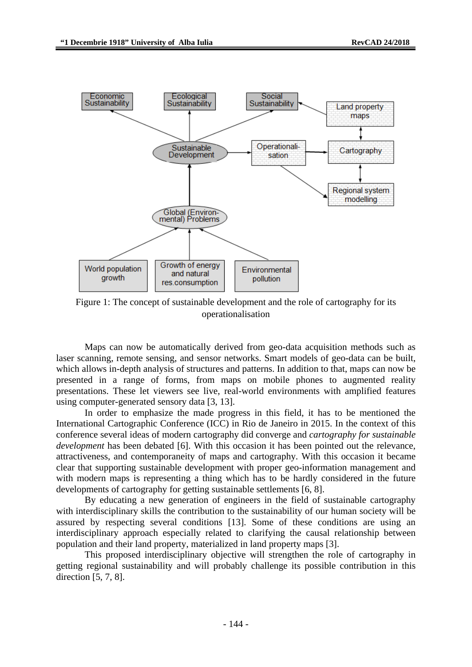

Figure 1: The concept of sustainable development and the role of cartography for its operationalisation

Maps can now be automatically derived from geo-data acquisition methods such as laser scanning, remote sensing, and sensor networks. Smart models of geo-data can be built, which allows in-depth analysis of structures and patterns. In addition to that, maps can now be presented in a range of forms, from maps on mobile phones to augmented reality presentations. These let viewers see live, real-world environments with amplified features using computer-generated sensory data [3, 13].

In order to emphasize the made progress in this field, it has to be mentioned the International Cartographic Conference (ICC) in Rio de Janeiro in 2015. In the context of this conference several ideas of modern cartography did converge and *cartography for sustainable development* has been debated [6]. With this occasion it has been pointed out the relevance, attractiveness, and contemporaneity of maps and cartography. With this occasion it became clear that supporting sustainable development with proper geo-information management and with modern maps is representing a thing which has to be hardly considered in the future developments of cartography for getting sustainable settlements [6, 8].

By educating a new generation of engineers in the field of sustainable cartography with interdisciplinary skills the contribution to the sustainability of our human society will be assured by respecting several conditions [13]. Some of these conditions are using an interdisciplinary approach especially related to clarifying the causal relationship between population and their land property, materialized in land property maps [3].

This proposed interdisciplinary objective will strengthen the role of cartography in getting regional sustainability and will probably challenge its possible contribution in this direction [5, 7, 8].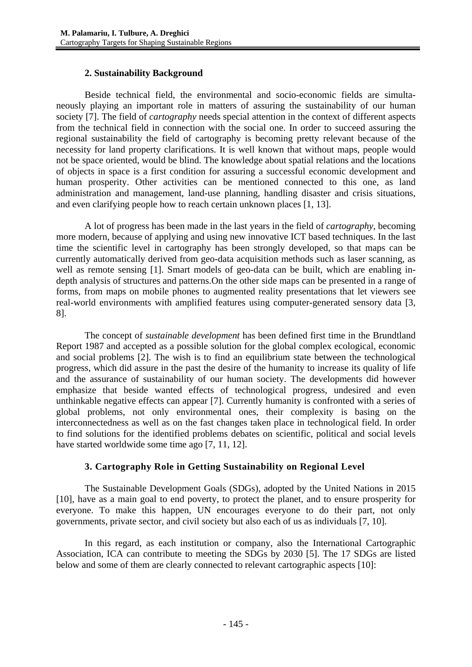## **2. Sustainability Background**

Beside technical field, the environmental and socio-economic fields are simultaneously playing an important role in matters of assuring the sustainability of our human society [7]. The field of *cartography* needs special attention in the context of different aspects from the technical field in connection with the social one. In order to succeed assuring the regional sustainability the field of cartography is becoming pretty relevant because of the necessity for land property clarifications. It is well known that without maps, people would not be space oriented, would be blind. The knowledge about spatial relations and the locations of objects in space is a first condition for assuring a successful economic development and human prosperity. Other activities can be mentioned connected to this one, as land administration and management, land-use planning, handling disaster and crisis situations, and even clarifying people how to reach certain unknown places [1, 13].

A lot of progress has been made in the last years in the field of *cartography*, becoming more modern, because of applying and using new innovative ICT based techniques. In the last time the scientific level in cartography has been strongly developed, so that maps can be currently automatically derived from geo-data acquisition methods such as laser scanning, as well as remote sensing [1]. Smart models of geo-data can be built, which are enabling indepth analysis of structures and patterns.On the other side maps can be presented in a range of forms, from maps on mobile phones to augmented reality presentations that let viewers see real-world environments with amplified features using computer-generated sensory data [3, 8].

The concept of *sustainable development* has been defined first time in the Brundtland Report 1987 and accepted as a possible solution for the global complex ecological, economic and social problems [2]. The wish is to find an equilibrium state between the technological progress, which did assure in the past the desire of the humanity to increase its quality of life and the assurance of sustainability of our human society. The developments did however emphasize that beside wanted effects of technological progress, undesired and even unthinkable negative effects can appear [7]. Currently humanity is confronted with a series of global problems, not only environmental ones, their complexity is basing on the interconnectedness as well as on the fast changes taken place in technological field. In order to find solutions for the identified problems debates on scientific, political and social levels have started worldwide some time ago [7, 11, 12].

## **3. Cartography Role in Getting Sustainability on Regional Level**

The Sustainable Development Goals (SDGs), adopted by the United Nations in 2015 [10], have as a main goal to end poverty, to protect the planet, and to ensure prosperity for everyone. To make this happen, UN encourages everyone to do their part, not only governments, private sector, and civil society but also each of us as individuals [7, 10].

In this regard, as each institution or company, also the International Cartographic Association, ICA can contribute to meeting the SDGs by 2030 [5]. The 17 SDGs are listed below and some of them are clearly connected to relevant cartographic aspects [10]: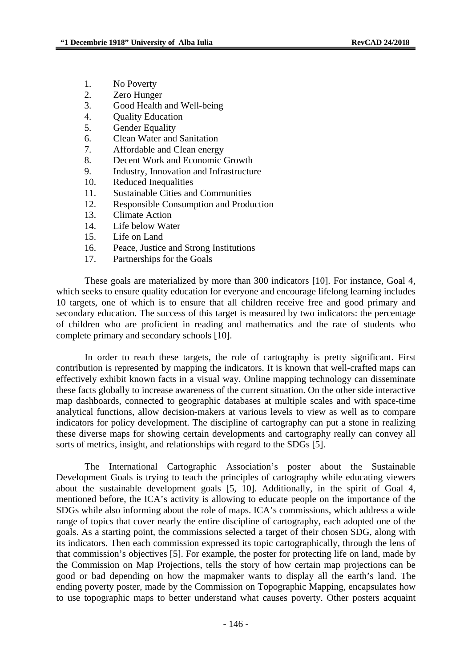- 1. No Poverty
- 2. Zero Hunger
- 3. Good Health and Well-being
- 4. Quality Education
- 5. Gender Equality
- 6. Clean Water and Sanitation
- 7. Affordable and Clean energy
- 8. Decent Work and Economic Growth
- 9. Industry, Innovation and Infrastructure
- 10. Reduced Inequalities
- 11. Sustainable Cities and Communities
- 12. Responsible Consumption and Production
- 13. Climate Action
- 14. Life below Water
- 15. Life on Land
- 16. Peace, Justice and Strong Institutions
- 17. Partnerships for the Goals

 These goals are materialized by more than 300 indicators [10]. For instance, Goal 4, which seeks to ensure quality education for everyone and encourage lifelong learning includes 10 targets, one of which is to ensure that all children receive free and good primary and secondary education. The success of this target is measured by two indicators: the percentage of children who are proficient in reading and mathematics and the rate of students who complete primary and secondary schools [10].

In order to reach these targets, the role of cartography is pretty significant. First contribution is represented by mapping the indicators. It is known that well-crafted maps can effectively exhibit known facts in a visual way. Online mapping technology can disseminate these facts globally to increase awareness of the current situation. On the other side interactive map dashboards, connected to geographic databases at multiple scales and with space-time analytical functions, allow decision-makers at various levels to view as well as to compare indicators for policy development. The discipline of cartography can put a stone in realizing these diverse maps for showing certain developments and cartography really can convey all sorts of metrics, insight, and relationships with regard to the SDGs [5].

The International Cartographic Association's poster about the Sustainable Development Goals is trying to teach the principles of cartography while educating viewers about the sustainable development goals [5, 10]. Additionally, in the spirit of Goal 4, mentioned before, the ICA's activity is allowing to educate people on the importance of the SDGs while also informing about the role of maps. ICA's commissions, which address a wide range of topics that cover nearly the entire discipline of cartography, each adopted one of the goals. As a starting point, the commissions selected a target of their chosen SDG, along with its indicators. Then each commission expressed its topic cartographically, through the lens of that commission's objectives [5]. For example, the poster for protecting life on land, made by the Commission on Map Projections, tells the story of how certain map projections can be good or bad depending on how the mapmaker wants to display all the earth's land. The ending poverty poster, made by the Commission on Topographic Mapping, encapsulates how to use topographic maps to better understand what causes poverty. Other posters acquaint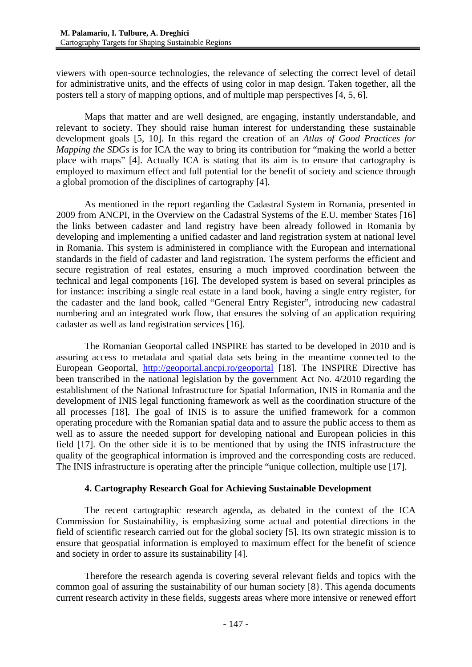viewers with open-source technologies, the relevance of selecting the correct level of detail for administrative units, and the effects of using color in map design. Taken together, all the posters tell a story of mapping options, and of multiple map perspectives [4, 5, 6].

Maps that matter and are well designed, are engaging, instantly understandable, and relevant to society. They should raise human interest for understanding these sustainable development goals [5, 10]. In this regard the creation of an *Atlas of Good Practices for Mapping the SDGs* is for ICA the way to bring its contribution for "making the world a better place with maps" [4]. Actually ICA is stating that its aim is to ensure that cartography is employed to maximum effect and full potential for the benefit of society and science through a global promotion of the disciplines of cartography [4].

As mentioned in the report regarding the Cadastral System in Romania, presented in 2009 from ANCPI, in the Overview on the Cadastral Systems of the E.U. member States [16] the links between cadaster and land registry have been already followed in Romania by developing and implementing a unified cadaster and land registration system at national level in Romania. This system is administered in compliance with the European and international standards in the field of cadaster and land registration. The system performs the efficient and secure registration of real estates, ensuring a much improved coordination between the technical and legal components [16]. The developed system is based on several principles as for instance: inscribing a single real estate in a land book, having a single entry register, for the cadaster and the land book, called "General Entry Register", introducing new cadastral numbering and an integrated work flow, that ensures the solving of an application requiring cadaster as well as land registration services [16].

The Romanian Geoportal called INSPIRE has started to be developed in 2010 and is assuring access to metadata and spatial data sets being in the meantime connected to the European Geoportal, http://geoportal.ancpi.ro/geoportal [18]. The INSPIRE Directive has been transcribed in the national legislation by the government Act No. 4/2010 regarding the establishment of the National Infrastructure for Spatial Information, INIS in Romania and the development of INIS legal functioning framework as well as the coordination structure of the all processes [18]. The goal of INIS is to assure the unified framework for a common operating procedure with the Romanian spatial data and to assure the public access to them as well as to assure the needed support for developing national and European policies in this field [17]. On the other side it is to be mentioned that by using the INIS infrastructure the quality of the geographical information is improved and the corresponding costs are reduced. The INIS infrastructure is operating after the principle "unique collection, multiple use [17].

## **4. Cartography Research Goal for Achieving Sustainable Development**

 The recent cartographic research agenda, as debated in the context of the ICA Commission for Sustainability, is emphasizing some actual and potential directions in the field of scientific research carried out for the global society [5]. Its own strategic mission is to ensure that geospatial information is employed to maximum effect for the benefit of science and society in order to assure its sustainability [4].

Therefore the research agenda is covering several relevant fields and topics with the common goal of assuring the sustainability of our human society [8}. This agenda documents current research activity in these fields, suggests areas where more intensive or renewed effort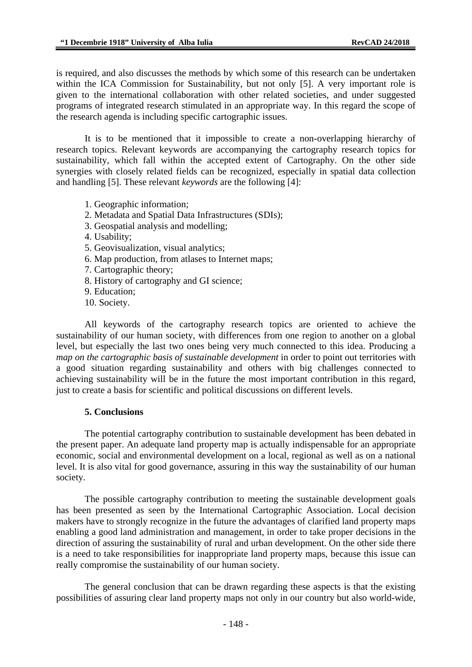is required, and also discusses the methods by which some of this research can be undertaken within the ICA Commission for Sustainability, but not only [5]. A very important role is given to the international collaboration with other related societies, and under suggested programs of integrated research stimulated in an appropriate way. In this regard the scope of the research agenda is including specific cartographic issues.

 It is to be mentioned that it impossible to create a non-overlapping hierarchy of research topics. Relevant keywords are accompanying the cartography research topics for sustainability, which fall within the accepted extent of Cartography. On the other side synergies with closely related fields can be recognized, especially in spatial data collection and handling [5]. These relevant *keywords* are the following [4]:

- 1. Geographic information;
- 2. Metadata and Spatial Data Infrastructures (SDIs);
- 3. Geospatial analysis and modelling;
- 4. Usability;
- 5. Geovisualization, visual analytics;
- 6. Map production, from atlases to Internet maps;
- 7. Cartographic theory;
- 8. History of cartography and GI science;
- 9. Education;
- 10. Society.

All keywords of the cartography research topics are oriented to achieve the sustainability of our human society, with differences from one region to another on a global level, but especially the last two ones being very much connected to this idea. Producing a *map on the cartographic basis of sustainable development* in order to point out territories with a good situation regarding sustainability and others with big challenges connected to achieving sustainability will be in the future the most important contribution in this regard, just to create a basis for scientific and political discussions on different levels.

#### **5. Conclusions**

 The potential cartography contribution to sustainable development has been debated in the present paper. An adequate land property map is actually indispensable for an appropriate economic, social and environmental development on a local, regional as well as on a national level. It is also vital for good governance, assuring in this way the sustainability of our human society.

 The possible cartography contribution to meeting the sustainable development goals has been presented as seen by the International Cartographic Association. Local decision makers have to strongly recognize in the future the advantages of clarified land property maps enabling a good land administration and management, in order to take proper decisions in the direction of assuring the sustainability of rural and urban development. On the other side there is a need to take responsibilities for inappropriate land property maps, because this issue can really compromise the sustainability of our human society.

 The general conclusion that can be drawn regarding these aspects is that the existing possibilities of assuring clear land property maps not only in our country but also world-wide,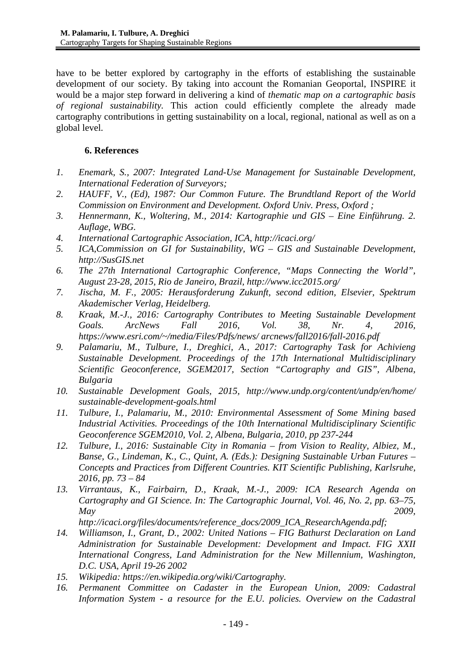have to be better explored by cartography in the efforts of establishing the sustainable development of our society. By taking into account the Romanian Geoportal, INSPIRE it would be a major step forward in delivering a kind of *thematic map on a cartographic basis of regional sustainability.* This action could efficiently complete the already made cartography contributions in getting sustainability on a local, regional, national as well as on a global level.

#### **6. References**

- *1. Enemark, S., 2007: Integrated Land-Use Management for Sustainable Development, International Federation of Surveyors;*
- *2. HAUFF, V., (Ed), 1987: Our Common Future. The Brundtland Report of the World Commission on Environment and Development. Oxford Univ. Press, Oxford ;*
- *3. Hennermann, K., Woltering, M., 2014: Kartographie und GIS Eine Einführung. 2. Auflage, WBG.*
- *4. International Cartographic Association, ICA, http://icaci.org/*
- *5. ICA,Commission on GI for Sustainability, WG GIS and Sustainable Development, http://SusGIS.net*
- *6. The 27th International Cartographic Conference, "Maps Connecting the World", August 23-28, 2015, Rio de Janeiro, Brazil, http://www.icc2015.org/*
- *7. Jischa, M. F., 2005: Herausforderung Zukunft, second edition, Elsevier, Spektrum Akademischer Verlag, Heidelberg.*
- *8. Kraak, M.-J., 2016: Cartography Contributes to Meeting Sustainable Development Goals. ArcNews Fall 2016, Vol. 38, Nr. 4, 2016, https://www.esri.com/~/media/Files/Pdfs/news/ arcnews/fall2016/fall-2016.pdf*
- *9. Palamariu, M., Tulbure, I., Dreghici, A., 2017: Cartography Task for Achivieng Sustainable Development. Proceedings of the 17th International Multidisciplinary Scientific Geoconference, SGEM2017, Section "Cartography and GIS", Albena, Bulgaria*
- *10. Sustainable Development Goals, 2015, http://www.undp.org/content/undp/en/home/ sustainable-development-goals.html*
- *11. Tulbure, I., Palamariu, M., 2010: Environmental Assessment of Some Mining based Industrial Activities. Proceedings of the 10th International Multidisciplinary Scientific Geoconference SGEM2010, Vol. 2, Albena, Bulgaria, 2010, pp 237-244*
- *12. Tulbure, I., 2016: Sustainable City in Romania from Vision to Reality, Albiez, M., Banse, G., Lindeman, K., C., Quint, A. (Eds.): Designing Sustainable Urban Futures – Concepts and Practices from Different Countries. KIT Scientific Publishing, Karlsruhe, 2016, pp. 73 – 84*
- *13. Virrantaus, K., Fairbairn, D., Kraak, M.-J., 2009: ICA Research Agenda on Cartography and GI Science. In: The Cartographic Journal, Vol. 46, No. 2, pp. 63–75, May 2009,*

*http://icaci.org/files/documents/reference\_docs/2009\_ICA\_ResearchAgenda.pdf;* 

- *14. Williamson, I., Grant, D., 2002: United Nations FIG Bathurst Declaration on Land Administration for Sustainable Development: Development and Impact. FIG XXII International Congress, Land Administration for the New Millennium, Washington, D.C. USA, April 19-26 2002*
- *15. Wikipedia: https://en.wikipedia.org/wiki/Cartography.*
- *16. Permanent Committee on Cadaster in the European Union, 2009: Cadastral Information System - a resource for the E.U. policies. Overview on the Cadastral*